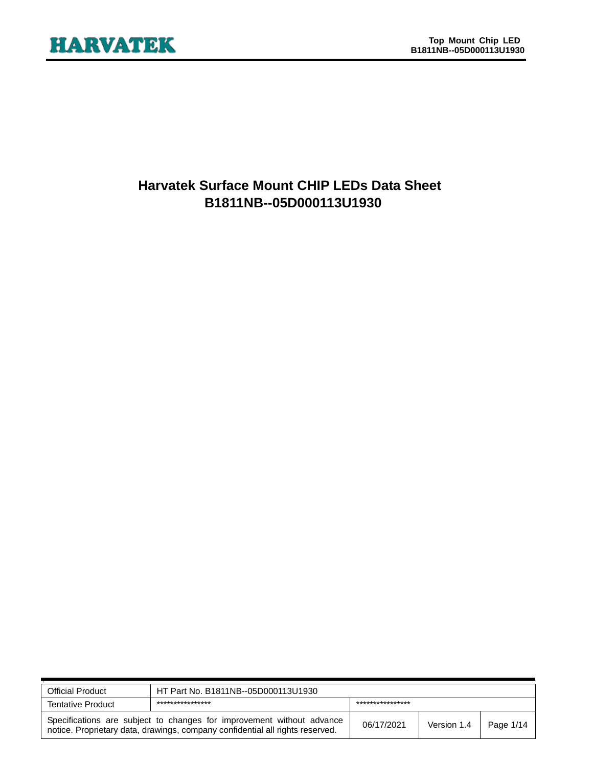

# **Harvatek Surface Mount CHIP LEDs Data Sheet B1811NB--05D000113U1930**

| <b>Official Product</b>  | HT Part No. B1811NB--05D000113U1930                                                                                                                    |            |             |           |
|--------------------------|--------------------------------------------------------------------------------------------------------------------------------------------------------|------------|-------------|-----------|
| <b>Tentative Product</b> | ****************<br>***************                                                                                                                    |            |             |           |
|                          | Specifications are subject to changes for improvement without advance<br>notice. Proprietary data, drawings, company confidential all rights reserved. | 06/17/2021 | Version 1.4 | Page 1/14 |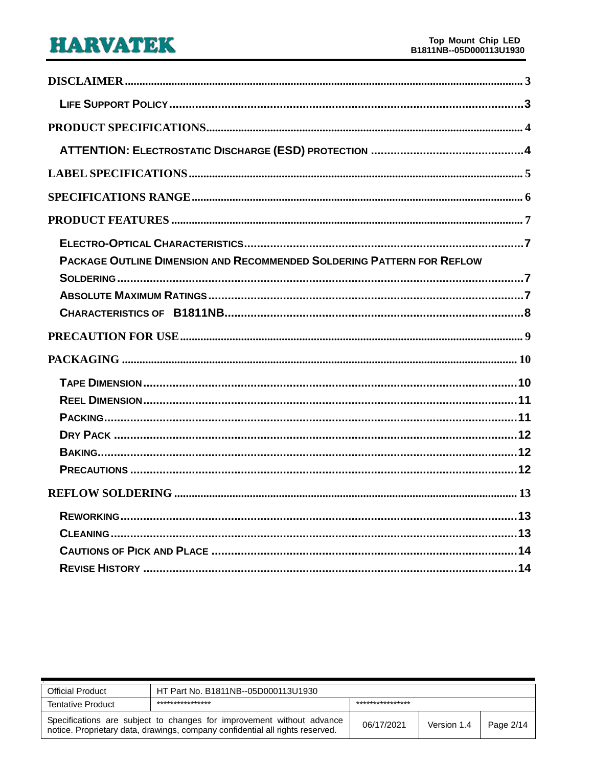| PACKAGE OUTLINE DIMENSION AND RECOMMENDED SOLDERING PATTERN FOR REFLOW |
|------------------------------------------------------------------------|
|                                                                        |
|                                                                        |
|                                                                        |
|                                                                        |
|                                                                        |
|                                                                        |
|                                                                        |
|                                                                        |
|                                                                        |
|                                                                        |
|                                                                        |
|                                                                        |
|                                                                        |
|                                                                        |
|                                                                        |
|                                                                        |

| <b>Official Product</b>  | HT Part No. B1811NB--05D000113U1930                                                                                                                    |                  |             |           |
|--------------------------|--------------------------------------------------------------------------------------------------------------------------------------------------------|------------------|-------------|-----------|
| <b>Tentative Product</b> | ****************                                                                                                                                       | **************** |             |           |
|                          | Specifications are subject to changes for improvement without advance<br>notice. Proprietary data, drawings, company confidential all rights reserved. | 06/17/2021       | Version 1.4 | Page 2/14 |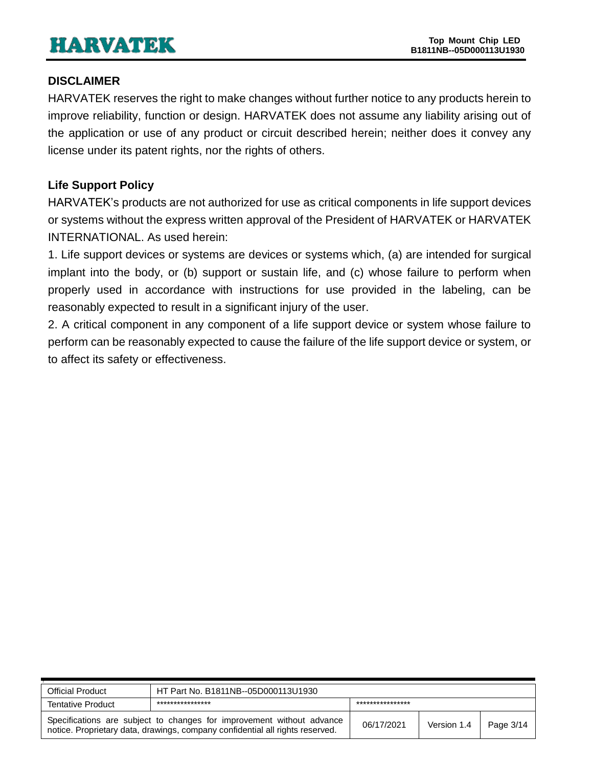### <span id="page-2-0"></span>**DISCLAIMER**

HARVATEK reserves the right to make changes without further notice to any products herein to improve reliability, function or design. HARVATEK does not assume any liability arising out of the application or use of any product or circuit described herein; neither does it convey any license under its patent rights, nor the rights of others.

## <span id="page-2-1"></span>**Life Support Policy**

HARVATEK's products are not authorized for use as critical components in life support devices or systems without the express written approval of the President of HARVATEK or HARVATEK INTERNATIONAL. As used herein:

1. Life support devices or systems are devices or systems which, (a) are intended for surgical implant into the body, or (b) support or sustain life, and (c) whose failure to perform when properly used in accordance with instructions for use provided in the labeling, can be reasonably expected to result in a significant injury of the user.

2. A critical component in any component of a life support device or system whose failure to perform can be reasonably expected to cause the failure of the life support device or system, or to affect its safety or effectiveness.

| <b>Official Product</b>  | HT Part No. B1811NB--05D000113U1930                                                                                                                    |            |             |           |
|--------------------------|--------------------------------------------------------------------------------------------------------------------------------------------------------|------------|-------------|-----------|
| <b>Tentative Product</b> | ****************<br>***************                                                                                                                    |            |             |           |
|                          | Specifications are subject to changes for improvement without advance<br>notice. Proprietary data, drawings, company confidential all rights reserved. | 06/17/2021 | Version 1.4 | Page 3/14 |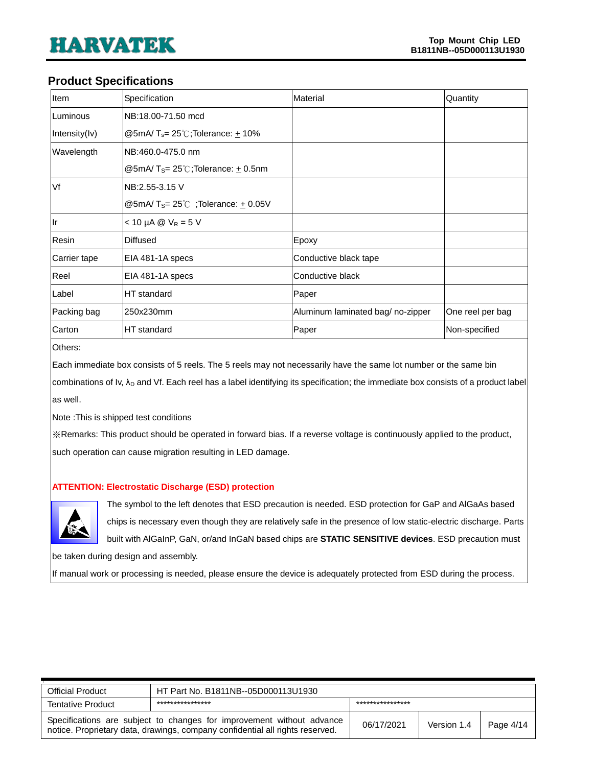#### <span id="page-3-0"></span>**Product Specifications**

| Item         | Specification                                               | Material                         | Quantity         |
|--------------|-------------------------------------------------------------|----------------------------------|------------------|
| Luminous     | NB:18.00-71.50 mcd                                          |                                  |                  |
| Intensity(V) | @5mA/ $T_s = 25^\circ\text{C}$ ;Tolerance: +10%             |                                  |                  |
| Wavelength   | NB:460.0-475.0 nm                                           |                                  |                  |
|              | @5mA/T <sub>S</sub> = $25^{\circ}$ C;Tolerance: $\pm$ 0.5nm |                                  |                  |
| Vf           | NB:2.55-3.15 V                                              |                                  |                  |
|              | @5mA/T <sub>S</sub> = 25°C; Tolerance: $\pm$ 0.05V          |                                  |                  |
| lr           | $<$ 10 µA @ $V_R$ = 5 V                                     |                                  |                  |
| Resin        | <b>Diffused</b>                                             | Epoxy                            |                  |
| Carrier tape | EIA 481-1A specs                                            | Conductive black tape            |                  |
| Reel         | EIA 481-1A specs                                            | Conductive black                 |                  |
| Label        | HT standard                                                 | Paper                            |                  |
| Packing bag  | 250x230mm                                                   | Aluminum laminated bag/no-zipper | One reel per bag |
| Carton       | HT standard                                                 | Paper                            | Non-specified    |

Others:

Each immediate box consists of 5 reels. The 5 reels may not necessarily have the same lot number or the same bin

combinations of Iv, λ<sub>D</sub> and Vf. Each reel has a label identifying its specification; the immediate box consists of a product label as well.

Note :This is shipped test conditions

※Remarks: This product should be operated in forward bias. If a reverse voltage is continuously applied to the product, such operation can cause migration resulting in LED damage.

#### <span id="page-3-1"></span>**ATTENTION: Electrostatic Discharge (ESD) protection**



The symbol to the left denotes that ESD precaution is needed. ESD protection for GaP and AlGaAs based chips is necessary even though they are relatively safe in the presence of low static-electric discharge. Parts built with AlGaInP, GaN, or/and InGaN based chips are **STATIC SENSITIVE devices**. ESD precaution must

be taken during design and assembly.

If manual work or processing is needed, please ensure the device is adequately protected from ESD during the process.

| <b>Official Product</b>  | HT Part No. B1811NB--05D000113U1930                                                                                                                    |            |             |           |  |
|--------------------------|--------------------------------------------------------------------------------------------------------------------------------------------------------|------------|-------------|-----------|--|
| <b>Tentative Product</b> | ****************<br>***************                                                                                                                    |            |             |           |  |
|                          | Specifications are subject to changes for improvement without advance<br>notice. Proprietary data, drawings, company confidential all rights reserved. | 06/17/2021 | Version 1.4 | Page 4/14 |  |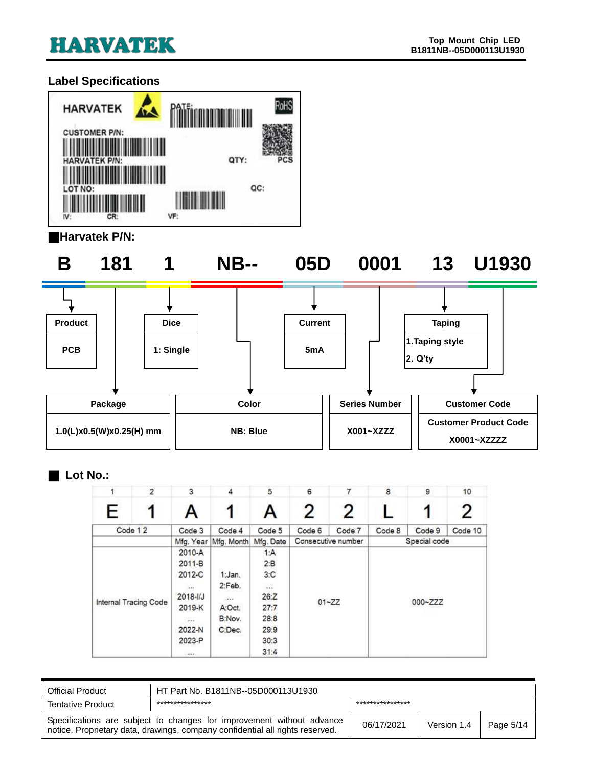## <span id="page-4-0"></span>**Label Specifications**



#### ■**Harvatek P/N:**

**B 181 1 NB-- 05D 0001 13 U1930**





#### ■ **Lot No.:**

|   | $\overline{2}$        | 3              | 4          | 5         | 6      | 7                  | $\bf 8$ | 9            | 10      |
|---|-----------------------|----------------|------------|-----------|--------|--------------------|---------|--------------|---------|
| E |                       | Α              |            | A         | 2      | 2                  |         |              |         |
|   | Code 12               | Code 3         | Code 4     | Code 5    | Code 6 | Code 7             | Code 8  | Code 9       | Code 10 |
|   |                       | Mfg. Year      | Mfg. Month | Mfg. Date |        | Consecutive number |         | Special code |         |
|   |                       | 2010-A         |            | 1:A       |        |                    |         |              |         |
|   |                       |                |            | 2: B      |        |                    |         |              |         |
|   |                       | 2012-C         | 1:Jan.     | 3:C       |        |                    |         |              |         |
|   |                       |                | 2:Feb.     |           |        |                    |         |              |         |
|   |                       | $2018 - 1/J$   | 14.4.9     | 26:Z      |        |                    |         | 000~ZZZ      |         |
|   | Internal Tracing Code | 2019-K         | A:Oct.     | 27:7      |        | $01 - ZZ$          |         |              |         |
|   |                       | $\overline{a}$ | B:Nov.     | 28:8      |        |                    |         |              |         |
|   |                       | 2022-N         | C:Dec.     | 29:9      |        |                    |         |              |         |
|   |                       | 2023-P         |            | 30:3      |        |                    |         |              |         |
|   |                       | 12.1           |            | 31:4      |        |                    |         |              |         |

| <b>Official Product</b>  | HT Part No. B1811NB--05D000113U1930                                                                                                                    |            |             |           |
|--------------------------|--------------------------------------------------------------------------------------------------------------------------------------------------------|------------|-------------|-----------|
| <b>Tentative Product</b> | ****************<br>***************                                                                                                                    |            |             |           |
|                          | Specifications are subject to changes for improvement without advance<br>notice. Proprietary data, drawings, company confidential all rights reserved. | 06/17/2021 | Version 1.4 | Page 5/14 |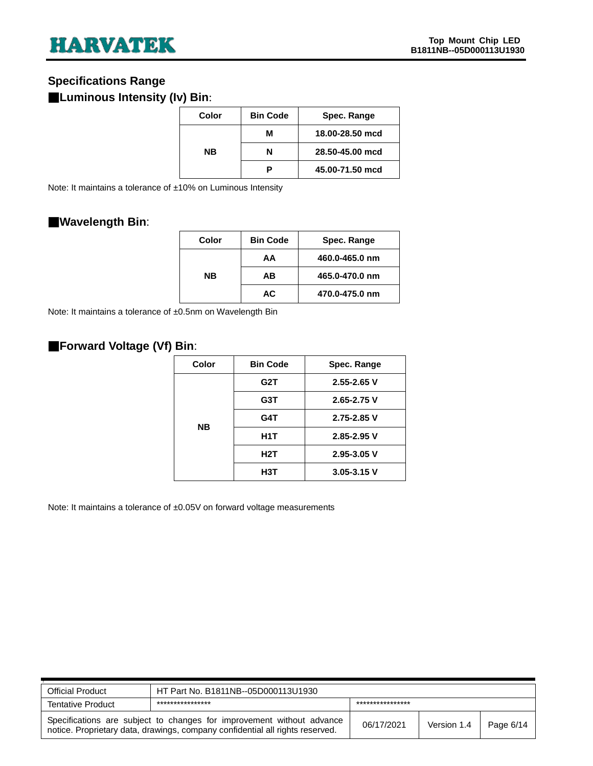### <span id="page-5-0"></span>**Specifications Range**

### ■**Luminous Intensity (Iv) Bin**:

| Color     | <b>Bin Code</b> | Spec. Range     |  |  |
|-----------|-----------------|-----------------|--|--|
|           | м               | 18.00-28.50 mcd |  |  |
| <b>NB</b> | N               | 28.50-45.00 mcd |  |  |
|           |                 | 45.00-71.50 mcd |  |  |

Note: It maintains a tolerance of ±10% on Luminous Intensity

### ■**Wavelength Bin**:

| Color | <b>Bin Code</b> | Spec. Range    |
|-------|-----------------|----------------|
| NΒ    | AA              | 460.0-465.0 nm |
|       | AВ              | 465.0-470.0 nm |
|       | AC.             | 470.0-475.0 nm |

Note: It maintains a tolerance of ±0.5nm on Wavelength Bin

### ■**Forward Voltage (Vf) Bin**:

| Color     | <b>Bin Code</b>  | Spec. Range     |  |  |
|-----------|------------------|-----------------|--|--|
| <b>NB</b> | G2T              | $2.55 - 2.65$ V |  |  |
|           | G3T              | $2.65 - 2.75$ V |  |  |
|           | G4T              | $2.75 - 2.85$ V |  |  |
|           | H <sub>1</sub> T | $2.85 - 2.95$ V |  |  |
|           | H2T              | $2.95 - 3.05$ V |  |  |
|           | H3T              | $3.05 - 3.15$ V |  |  |

Note: It maintains a tolerance of ±0.05V on forward voltage measurements

| <b>Official Product</b>  | HT Part No. B1811NB--05D000113U1930                                                                                                                    |            |             |           |
|--------------------------|--------------------------------------------------------------------------------------------------------------------------------------------------------|------------|-------------|-----------|
| <b>Tentative Product</b> | ****************<br>****************                                                                                                                   |            |             |           |
|                          | Specifications are subject to changes for improvement without advance<br>notice. Proprietary data, drawings, company confidential all rights reserved. | 06/17/2021 | Version 1.4 | Page 6/14 |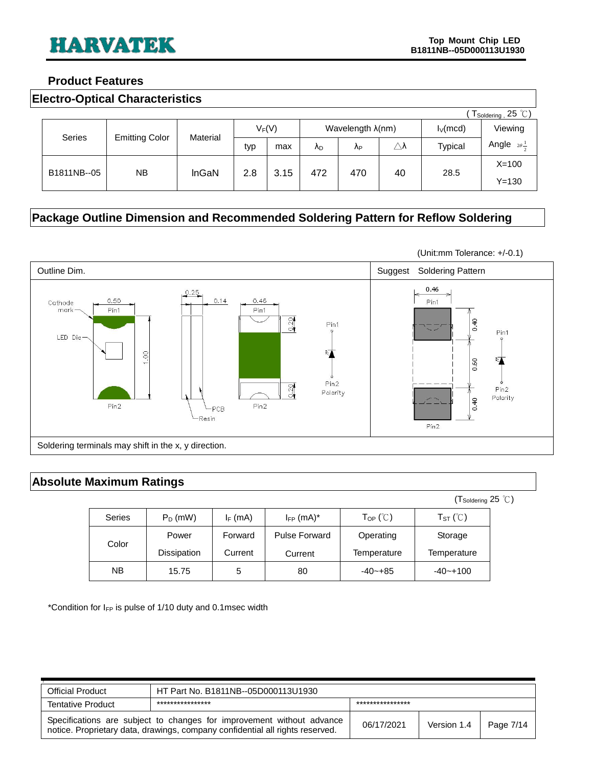#### <span id="page-6-0"></span>**Product Features**

<span id="page-6-1"></span>

|  | <b>Electro-Optical Characteristics</b> |
|--|----------------------------------------|
|--|----------------------------------------|

|             | $\sqrt{T_{\textsf{Soldering}}}, 25 \text{ }^{\circ}\text{C}$ |          |     |          |     |                  |                     |             |                             |
|-------------|--------------------------------------------------------------|----------|-----|----------|-----|------------------|---------------------|-------------|-----------------------------|
|             |                                                              |          |     | $V_F(V)$ |     | Wavelength λ(nm) |                     | $I_V$ (mcd) | Viewing                     |
| Series      | <b>Emitting Color</b>                                        | Material | typ | max      | ΛD  | ΛP               | $\triangle \lambda$ | Typical     | Angle $2\theta \frac{1}{2}$ |
|             |                                                              |          |     |          | 472 |                  |                     |             | $X=100$                     |
| B1811NB--05 | NB.                                                          | InGaN    | 2.8 | 3.15     |     | 470              | 40                  | 28.5        | $Y = 130$                   |

# <span id="page-6-2"></span>**Package Outline Dimension and Recommended Soldering Pattern for Reflow Soldering**



#### <span id="page-6-3"></span>**Absolute Maximum Ratings**

|               |             |            |                            |                                             | $(T_{\text{Soldering}} 25^{\circ} \text{C})$ |  |
|---------------|-------------|------------|----------------------------|---------------------------------------------|----------------------------------------------|--|
| <b>Series</b> | $P_D$ (mW)  | $I_F$ (mA) | $I_{FP}$ (mA) <sup>*</sup> | $\mathsf{T}_{\mathsf{OP}}$ ( $\mathbb{C}$ ) | $T_{ST}$ ( $\degree$ C)                      |  |
| Color         | Power       | Forward    | Pulse Forward              | Operating                                   | Storage                                      |  |
|               | Dissipation | Current    | Current                    | Temperature                                 | Temperature                                  |  |
| <b>NB</b>     | 15.75       | 5          | 80                         | $-40 - +85$                                 | $-40 - +100$                                 |  |

\*Condition for  $I_{FP}$  is pulse of 1/10 duty and 0.1msec width

| <b>Official Product</b>                                                                                                                                | HT Part No. B1811NB--05D000113U1930 |                  |             |           |
|--------------------------------------------------------------------------------------------------------------------------------------------------------|-------------------------------------|------------------|-------------|-----------|
| <b>Tentative Product</b>                                                                                                                               | ****************                    | **************** |             |           |
| Specifications are subject to changes for improvement without advance<br>notice. Proprietary data, drawings, company confidential all rights reserved. |                                     | 06/17/2021       | Version 1.4 | Page 7/14 |

(Unit:mm Tolerance: +/-0.1)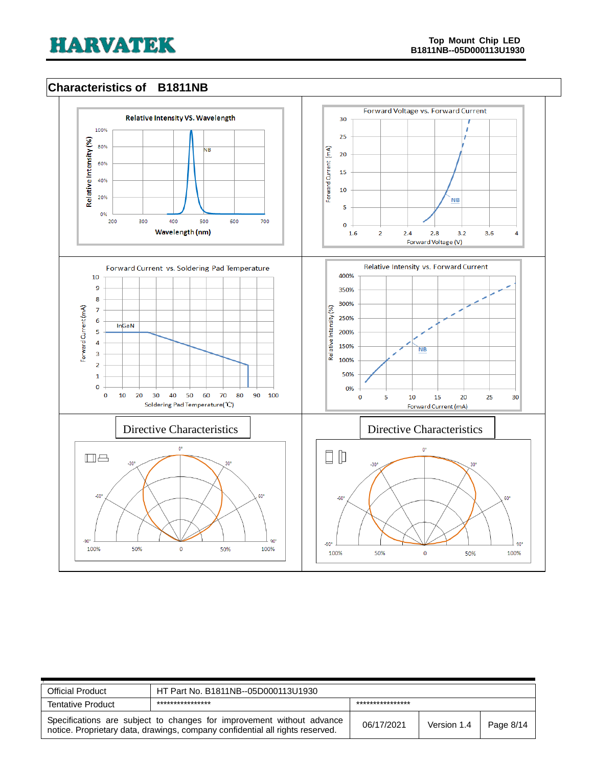### <span id="page-7-0"></span>**Characteristics of B1811NB**



| <b>Official Product</b>                                                                                                                                | HT Part No. B1811NB--05D000113U1930 |                  |             |           |
|--------------------------------------------------------------------------------------------------------------------------------------------------------|-------------------------------------|------------------|-------------|-----------|
| <b>Tentative Product</b>                                                                                                                               | ****************                    | **************** |             |           |
| Specifications are subject to changes for improvement without advance<br>notice. Proprietary data, drawings, company confidential all rights reserved. |                                     | 06/17/2021       | Version 1.4 | Page 8/14 |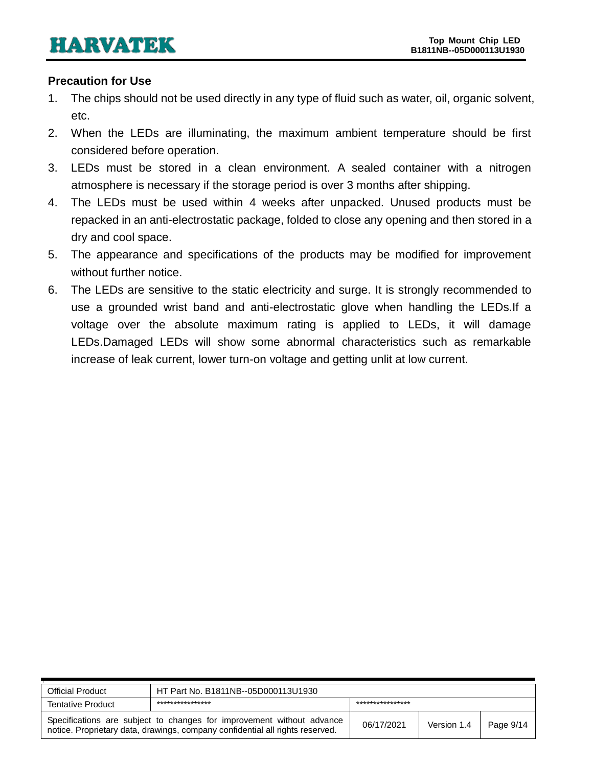#### <span id="page-8-0"></span>**Precaution for Use**

- 1. The chips should not be used directly in any type of fluid such as water, oil, organic solvent, etc.
- 2. When the LEDs are illuminating, the maximum ambient temperature should be first considered before operation.
- 3. LEDs must be stored in a clean environment. A sealed container with a nitrogen atmosphere is necessary if the storage period is over 3 months after shipping.
- 4. The LEDs must be used within 4 weeks after unpacked. Unused products must be repacked in an anti-electrostatic package, folded to close any opening and then stored in a dry and cool space.
- 5. The appearance and specifications of the products may be modified for improvement without further notice.
- 6. The LEDs are sensitive to the static electricity and surge. It is strongly recommended to use a grounded wrist band and anti-electrostatic glove when handling the LEDs.If a voltage over the absolute maximum rating is applied to LEDs, it will damage LEDs.Damaged LEDs will show some abnormal characteristics such as remarkable increase of leak current, lower turn-on voltage and getting unlit at low current.

| <b>Official Product</b>                                                                                                                                | HT Part No. B1811NB--05D000113U1930 |                  |             |           |
|--------------------------------------------------------------------------------------------------------------------------------------------------------|-------------------------------------|------------------|-------------|-----------|
| <b>Tentative Product</b>                                                                                                                               | ****************                    | **************** |             |           |
| Specifications are subject to changes for improvement without advance<br>notice. Proprietary data, drawings, company confidential all rights reserved. |                                     | 06/17/2021       | Version 1.4 | Page 9/14 |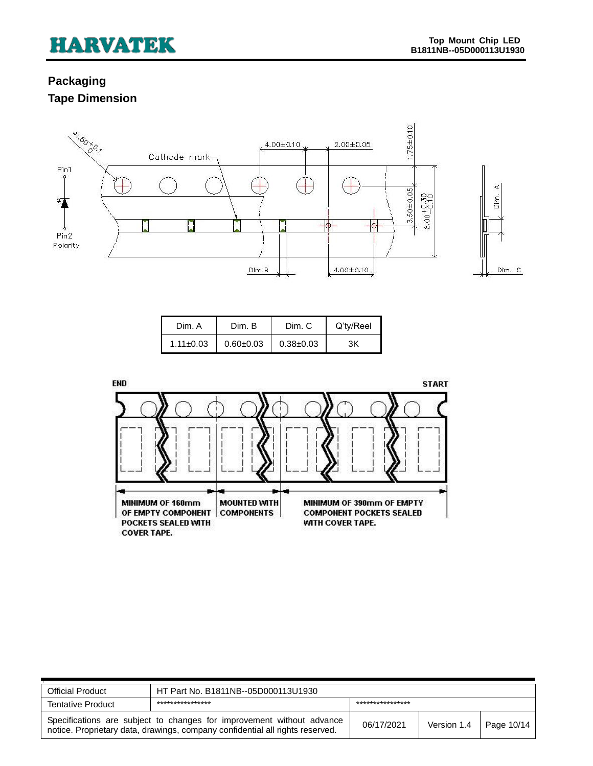# <span id="page-9-1"></span><span id="page-9-0"></span>**Packaging Tape Dimension**



| Dim. A          | Dim. B        | Dim. C        | Q'ty/Reel |
|-----------------|---------------|---------------|-----------|
| $1.11 \pm 0.03$ | $0.60 + 0.03$ | $0.38 + 0.03$ | ЗK        |



| <b>Official Product</b>                                                                                                                                | HT Part No. B1811NB--05D000113U1930 |                  |             |                   |
|--------------------------------------------------------------------------------------------------------------------------------------------------------|-------------------------------------|------------------|-------------|-------------------|
| <b>Tentative Product</b>                                                                                                                               | ****************                    | **************** |             |                   |
| Specifications are subject to changes for improvement without advance<br>notice. Proprietary data, drawings, company confidential all rights reserved. |                                     | 06/17/2021       | Version 1.4 | $\mid$ Page 10/14 |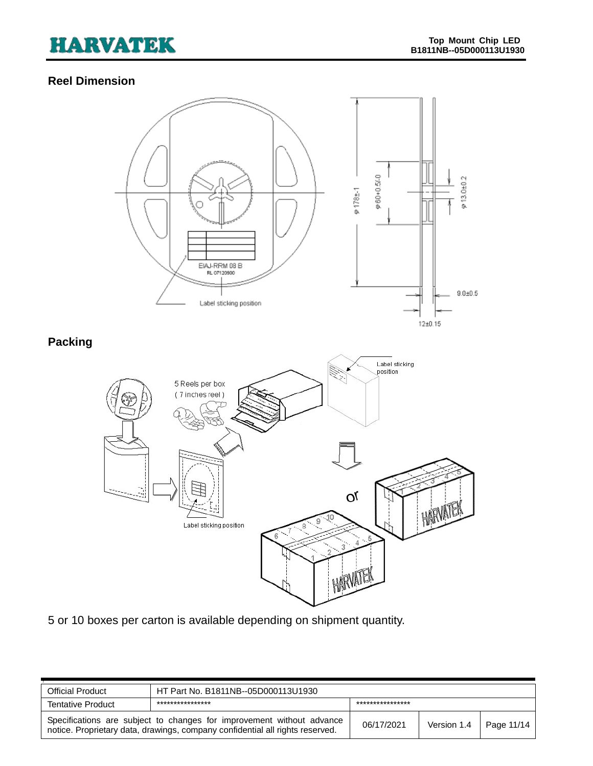# <span id="page-10-0"></span>**Reel Dimension**

<span id="page-10-1"></span>

5 or 10 boxes per carton is available depending on shipment quantity.

| <b>Official Product</b>                                                                                                                                | HT Part No. B1811NB--05D000113U1930 |                  |             |            |
|--------------------------------------------------------------------------------------------------------------------------------------------------------|-------------------------------------|------------------|-------------|------------|
| <b>Tentative Product</b>                                                                                                                               | ****************                    | **************** |             |            |
| Specifications are subject to changes for improvement without advance<br>notice. Proprietary data, drawings, company confidential all rights reserved. |                                     | 06/17/2021       | Version 1.4 | Page 11/14 |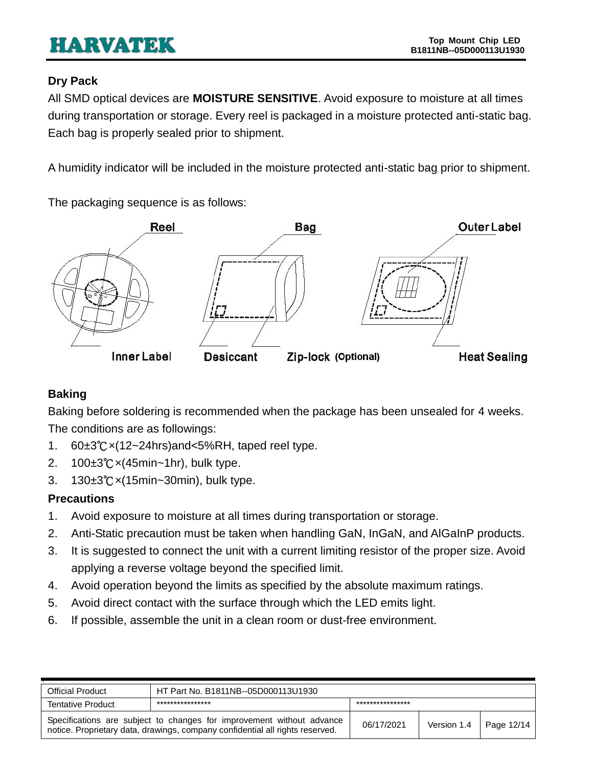### <span id="page-11-0"></span>**Dry Pack**

All SMD optical devices are **MOISTURE SENSITIVE**. Avoid exposure to moisture at all times during transportation or storage. Every reel is packaged in a moisture protected anti-static bag. Each bag is properly sealed prior to shipment.

A humidity indicator will be included in the moisture protected anti-static bag prior to shipment.

The packaging sequence is as follows:



# <span id="page-11-1"></span>**Baking**

Baking before soldering is recommended when the package has been unsealed for 4 weeks. The conditions are as followings:

- 1. 60±3℃×(12~24hrs)and<5%RH, taped reel type.
- 2. 100±3℃×(45min~1hr), bulk type.
- 3. 130±3℃×(15min~30min), bulk type.

# <span id="page-11-2"></span>**Precautions**

- 1. Avoid exposure to moisture at all times during transportation or storage.
- 2. Anti-Static precaution must be taken when handling GaN, InGaN, and AlGaInP products.
- 3. It is suggested to connect the unit with a current limiting resistor of the proper size. Avoid applying a reverse voltage beyond the specified limit.
- 4. Avoid operation beyond the limits as specified by the absolute maximum ratings.
- 5. Avoid direct contact with the surface through which the LED emits light.
- 6. If possible, assemble the unit in a clean room or dust-free environment.

| <b>Official Product</b>                                                                                                                                | HT Part No. B1811NB--05D000113U1930 |                 |             |            |
|--------------------------------------------------------------------------------------------------------------------------------------------------------|-------------------------------------|-----------------|-------------|------------|
| <b>Tentative Product</b>                                                                                                                               | ****************                    | *************** |             |            |
| Specifications are subject to changes for improvement without advance<br>notice. Proprietary data, drawings, company confidential all rights reserved. |                                     | 06/17/2021      | Version 1.4 | Page 12/14 |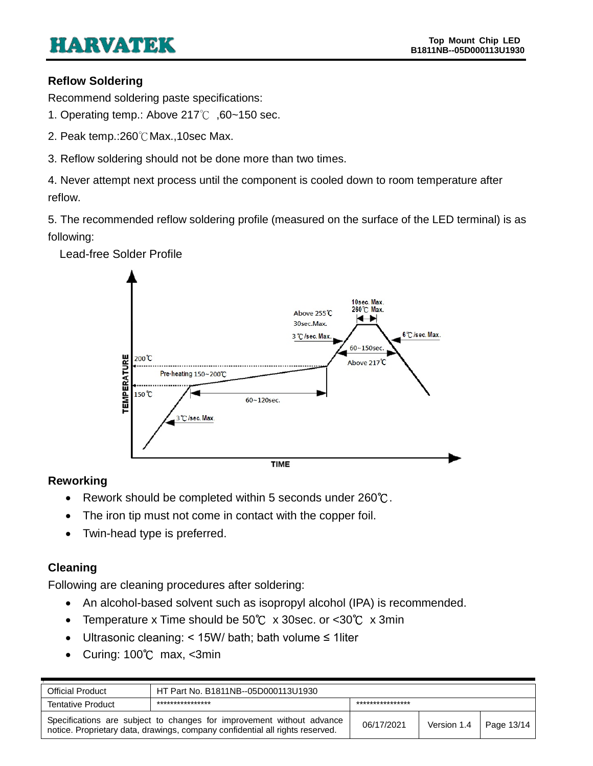#### <span id="page-12-0"></span>**Reflow Soldering**

Recommend soldering paste specifications:

- 1. Operating temp.: Above 217℃ ,60~150 sec.
- 2. Peak temp.:260℃Max.,10sec Max.
- 3. Reflow soldering should not be done more than two times.

4. Never attempt next process until the component is cooled down to room temperature after reflow.

5. The recommended reflow soldering profile (measured on the surface of the LED terminal) is as following:



#### Lead-free Solder Profile

### <span id="page-12-1"></span>**Reworking**

- Rework should be completed within 5 seconds under 260℃.
- The iron tip must not come in contact with the copper foil.
- Twin-head type is preferred.

#### <span id="page-12-2"></span>**Cleaning**

Following are cleaning procedures after soldering:

- An alcohol-based solvent such as isopropyl alcohol (IPA) is recommended.
- Temperature x Time should be 50℃ x 30sec. or <30℃ x 3min
- Ultrasonic cleaning: < 15W/ bath; bath volume ≤ 1liter
- Curing: 100℃ max, <3min

| <b>Official Product</b>                                                                                                                                | HT Part No. B1811NB--05D000113U1930 |                  |             |            |
|--------------------------------------------------------------------------------------------------------------------------------------------------------|-------------------------------------|------------------|-------------|------------|
| <b>Tentative Product</b>                                                                                                                               | ****************                    | **************** |             |            |
| Specifications are subject to changes for improvement without advance<br>notice. Proprietary data, drawings, company confidential all rights reserved. |                                     | 06/17/2021       | Version 1.4 | Page 13/14 |